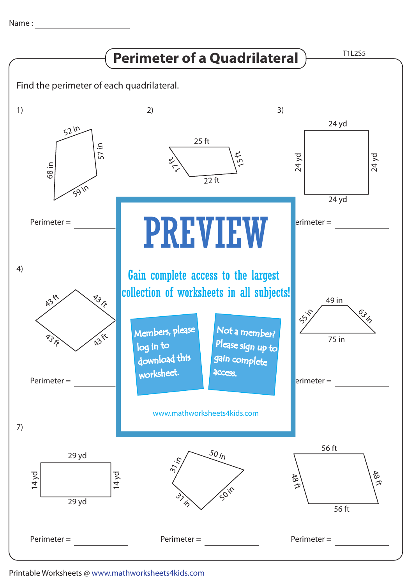Name : with the state of  $\sim$